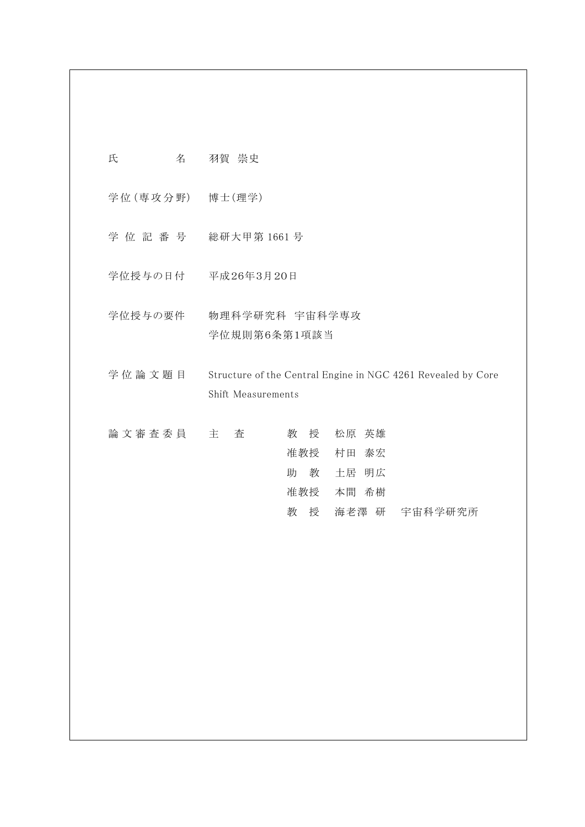| 氏 | 名 | 羽賀 崇史 |  |
|---|---|-------|--|
|   |   |       |  |

学 位 (専 攻 分 野) 博士(理学)

- 学 位 記 番 号 総研大甲第 1661 号
- 学位授与の日付 平成26年3月20日
- 学位授与の要件 物理科学研究科 宇宙科学専攻 学位規則第6条第1項該当
- 学位論文題目 Structure of the Central Engine in NGC 4261 Revealed by Core Shift Measurements

| 論 文 審 査 委 員 主 | 査 |        | 教授 松原 英雄  |               |
|---------------|---|--------|-----------|---------------|
|               |   |        | 准教授 村田 泰宏 |               |
|               |   | 助      | 教 土居 明広   |               |
|               |   |        | 准教授 本間 希樹 |               |
|               |   | 教<br>授 |           | 海老澤 研 宇宙科学研究所 |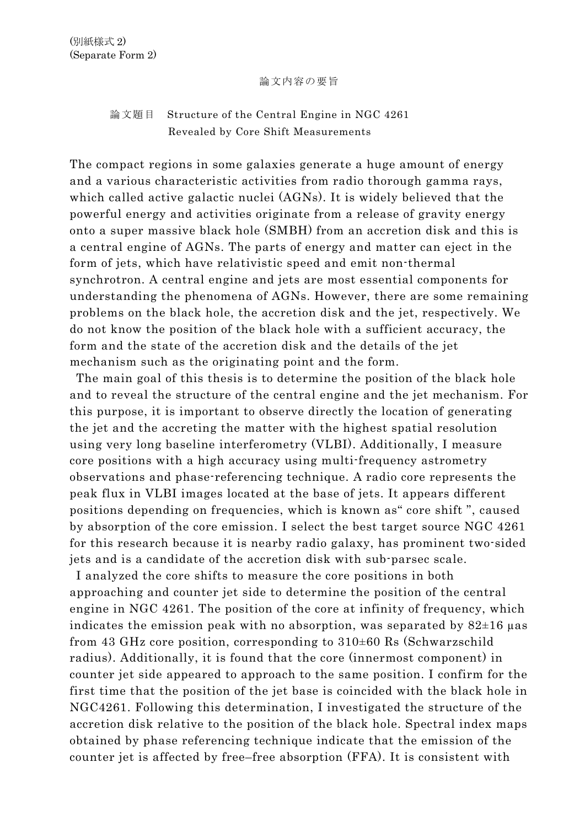## 論文内容の要旨

## 論文題目 Structure of the Central Engine in NGC 4261 Revealed by Core Shift Measurements

The compact regions in some galaxies generate a huge amount of energy and a various characteristic activities from radio thorough gamma rays, which called active galactic nuclei (AGNs). It is widely believed that the powerful energy and activities originate from a release of gravity energy onto a super massive black hole (SMBH) from an accretion disk and this is a central engine of AGNs. The parts of energy and matter can eject in the form of jets, which have relativistic speed and emit non-thermal synchrotron. A central engine and jets are most essential components for understanding the phenomena of AGNs. However, there are some remaining problems on the black hole, the accretion disk and the jet, respectively. We do not know the position of the black hole with a sufficient accuracy, the form and the state of the accretion disk and the details of the jet mechanism such as the originating point and the form.

 The main goal of this thesis is to determine the position of the black hole and to reveal the structure of the central engine and the jet mechanism. For this purpose, it is important to observe directly the location of generating the jet and the accreting the matter with the highest spatial resolution using very long baseline interferometry (VLBI). Additionally, I measure core positions with a high accuracy using multi-frequency astrometry observations and phase-referencing technique. A radio core represents the peak flux in VLBI images located at the base of jets. It appears different positions depending on frequencies, which is known as" core shift ", caused by absorption of the core emission. I select the best target source NGC 4261 for this research because it is nearby radio galaxy, has prominent two-sided jets and is a candidate of the accretion disk with sub-parsec scale.

 I analyzed the core shifts to measure the core positions in both approaching and counter jet side to determine the position of the central engine in NGC 4261. The position of the core at infinity of frequency, which indicates the emission peak with no absorption, was separated by  $82\pm16$  µas from 43 GHz core position, corresponding to 310±60 Rs (Schwarzschild radius). Additionally, it is found that the core (innermost component) in counter jet side appeared to approach to the same position. I confirm for the first time that the position of the jet base is coincided with the black hole in NGC4261. Following this determination, I investigated the structure of the accretion disk relative to the position of the black hole. Spectral index maps obtained by phase referencing technique indicate that the emission of the counter jet is affected by free–free absorption (FFA). It is consistent with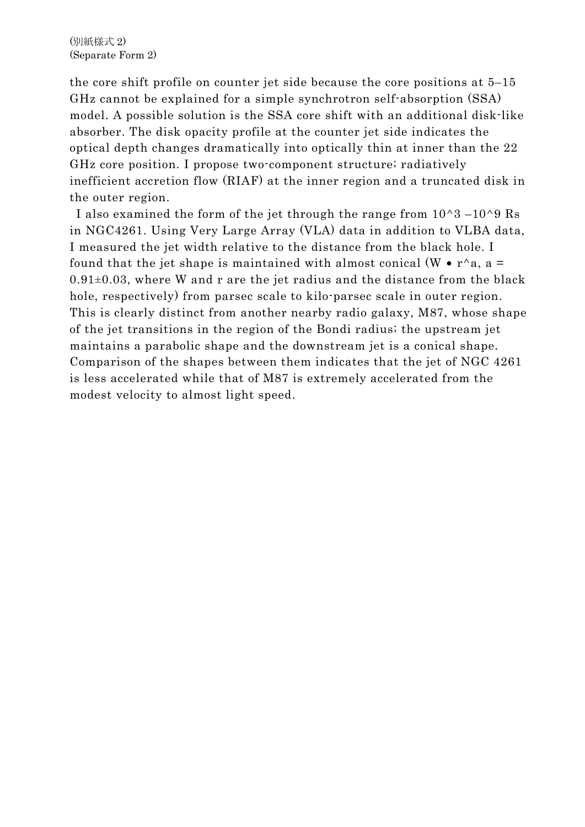the core shift profile on counter jet side because the core positions at 5–15 GHz cannot be explained for a simple synchrotron self-absorption (SSA) model. A possible solution is the SSA core shift with an additional disk-like absorber. The disk opacity profile at the counter jet side indicates the optical depth changes dramatically into optically thin at inner than the 22 GHz core position. I propose two-component structure; radiatively inefficient accretion flow (RIAF) at the inner region and a truncated disk in the outer region.

I also examined the form of the jet through the range from  $10^{\circ}3 - 10^{\circ}9$  Rs in NGC4261. Using Very Large Array (VLA) data in addition to VLBA data, I measured the jet width relative to the distance from the black hole. I found that the jet shape is maintained with almost conical  $(W \cdot r^a a$ , a =  $0.91\pm0.03$ , where W and r are the jet radius and the distance from the black hole, respectively) from parsec scale to kilo-parsec scale in outer region. This is clearly distinct from another nearby radio galaxy, M87, whose shape of the jet transitions in the region of the Bondi radius; the upstream jet maintains a parabolic shape and the downstream jet is a conical shape. Comparison of the shapes between them indicates that the jet of NGC 4261 is less accelerated while that of M87 is extremely accelerated from the modest velocity to almost light speed.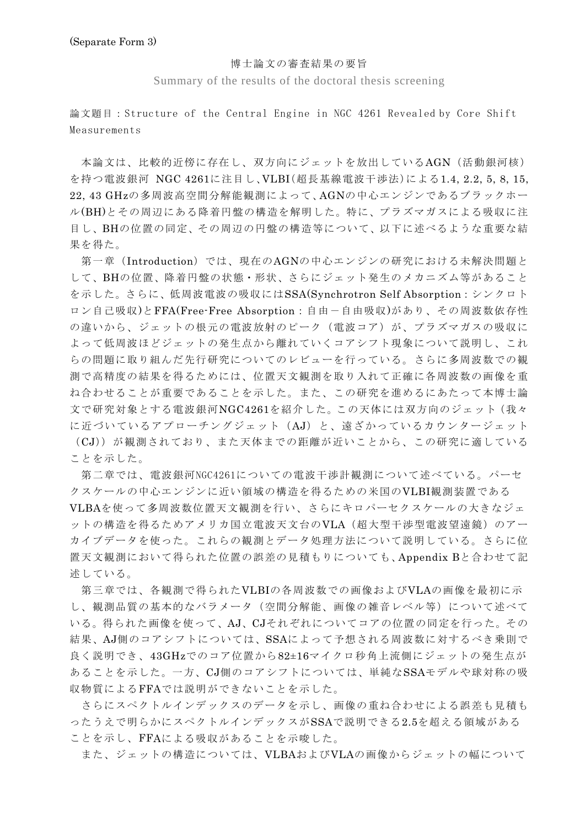## 博士論文の審査結果の要旨

Summary of the results of the doctoral thesis screening

論文題目:Structure of the Central Engine in NGC 4261 Revealed by Core Shift Measurements

 本論文は、比較的近傍に存在し、双方向にジェットを放出しているAGN(活動銀河核) を持つ電波銀河 NGC 4261に注目し、VLBI(超長基線電波干渉法)による1.4, 2.2, 5, 8, 15, 22, 43 GHzの多周波高空間分解能観測によって、AGNの中心エンジンであるブラックホー ル(BH)とその周辺にある降着円盤の構造を解明した。特に、プラズマガスによる吸収に注 目し、BHの位置の同定、その周辺の円盤の構造等について、以下に述べるような重要な結 果を得た。

第一章(Introduction)では、現在のAGNの中心エンジンの研究における未解決問題と して、BHの位置、降着円盤の状態・形状、さらにジェット発生のメカニズム等があること を示した。さらに、低周波電波の吸収にはSSA(Synchrotron Self Absorption:シンクロト ロン自己吸収)とFFA(Free-Free Absorption: 自由ー自由吸収)があり、その周波数依存性 の違いから、ジェットの根元の電波放射のピーク(電波コア)が、プラズマガスの吸収に よって低周波ほどジェットの発生点から離れていくコアシフト現象について説明し、これ らの問題に取り組んだ先行研究についてのレビューを行っている。さらに多周波数での観 測で高精度の結果を得るためには、位置天文観測を取り入れて正確に各周波数の画像を重 ね合わせることが重要であることを示した。また、この研究を進めるにあたって本博士論 文で研究対象とする電波銀河NGC4261を紹介した。この天体には双方向のジェット(我々 に近づいているアプローチングジェット(AJ)と、遠ざかっているカウンタージェット (CJ))が観測されており、また天体までの距離が近いことから、この研究に適している ことを示した。

第二章では、電波銀河NGC4261についての電波干渉計観測について述べている。パーセ クスケールの中心エンジンに近い領域の構造を得るための米国のVLBI観測装置である VLBAを使って多周波数位置天文観測を行い、さらにキロパーセクスケールの大きなジェ ットの構造を得るためアメリカ国立電波天文台のVLA(超大型干渉型電波望遠鏡)のアー カイブデータを使った。これらの観測とデータ処理方法について説明している。さらに位 置天文観測において得られた位置の誤差の見積もりについても、Appendix Bと合わせて記 述している。

 第三章では、各観測で得られたVLBIの各周波数での画像およびVLAの画像を最初に示 し、観測品質の基本的なバラメータ(空間分解能、画像の雑音レベル等)について述べて いる。得られた画像を使って、AJ、CJそれぞれについてコアの位置の同定を行った。その 結果、AJ側のコアシフトについては、SSAによって予想される周波数に対するべき乗則で 良く説明でき、43GHzでのコア位置から82±16マイクロ秒角上流側にジェットの発生点が あることを示した。一方、CJ側のコアシフトについては、単純なSSAモデルや球対称の吸 収物質によるFFAでは説明ができないことを示した。

さらにスペクトルインデックスのデータを示し、画像の重ね合わせによる誤差も見積も ったうえで明らかにスペクトルインデックスがSSAで説明できる2.5を超える領域がある ことを示し、FFAによる吸収があることを示唆した。

また、ジェットの構造については、VLBAおよびVLAの画像からジェットの幅について